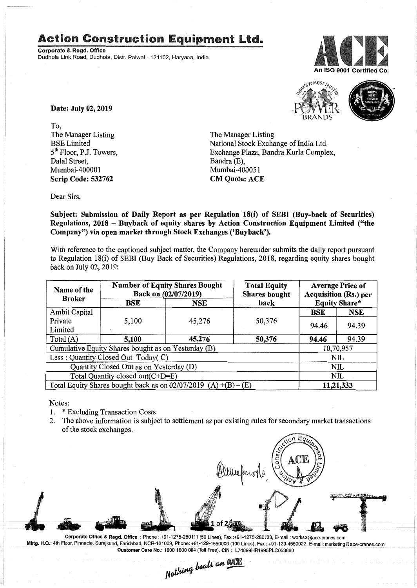## **Action Construction Equipment Ltd.**

Corporate & Regd. Office Dudhola Link Road, Dudhola, Distt. Palwal - 121102, Haryana, India





Date: July 02, 2019

To, The Manager Listing BSE Limited 5<sup>th</sup> Floor, P.J. Towers, Dalal Street, Mumbai-400001 Scrip Code: 532762

The Manager Listing National Stock Exchange of India Ltd. Exchange Plaza, Bandra Kurla Complex, Bandra (E), Mumbai-400051 CM Quote: ACE

Dear Sirs,

Subject: Submission of Daily Report as per Regulation 18(i) of SEBI (Buy-back of Securities) Regulations, 2018 - Buyback of equity shares by Action Construction Equipment Limited ("the Company") via open market through Stock Exchanges ('Buyback').

With reference to the captioned subject matter, the Company hereunder submits the daily report pursuant to Regulation 18(i) of SEBI (Buy Back of Securities) Regulations, 2018, regarding equity shares bought back on July 02, 2019:

| Name of the<br><b>Broker</b>                                      | <b>Number of Equity Shares Bought</b><br>Back on (02/07/2019) |            | <b>Total Equity</b><br><b>Shares bought</b> | <b>Average Price of</b><br>Acquisition (Rs.) per |            |  |
|-------------------------------------------------------------------|---------------------------------------------------------------|------------|---------------------------------------------|--------------------------------------------------|------------|--|
|                                                                   | BSE                                                           | <b>NSE</b> | back                                        | <b>Equity Share*</b>                             |            |  |
| Ambit Capital                                                     |                                                               |            |                                             | BSE                                              | <b>NSE</b> |  |
| Private                                                           | 5,100                                                         | 45,276     | 50,376                                      | 94.46                                            | 94.39      |  |
| Limited                                                           |                                                               |            |                                             |                                                  |            |  |
| Total $(A)$                                                       | 5,100                                                         | 45,276     | 50,376                                      | 94.46                                            | 94.39      |  |
| Cumulative Equity Shares bought as on Yesterday (B)               |                                                               |            |                                             |                                                  | 10,70,957  |  |
| Less: Quantity Closed Out Today(C)                                |                                                               |            |                                             | NIL                                              |            |  |
| Quantity Closed Out as on Yesterday (D)                           |                                                               |            |                                             | <b>NIL</b>                                       |            |  |
| Total Quantity closed out(C+D=E)                                  |                                                               |            |                                             | NIL                                              |            |  |
| Total Equity Shares bought back as on $02/07/2019$ (A) +(B) – (E) |                                                               |            |                                             | 11,21,333                                        |            |  |

Notes:

- 1. \* Excluding Transaction Costs
- 2. The above information is subject to settlement as per existing rules for secondary market transactions of the stock exchanges.

**TAXABAALAM** 

Corporate Office & Regd. Office: Phone: +91-1275-280111(50 Lines), Fax:+91-1275-280133, E-mail: works2@ace-cranes.com Mktg. H.Q.: 4th Floor, Pinnacle, Surajkund, Faridabad, NCR-121009, Phone: +91-129-4550000 (100 Lines), Fax: +91-129-4550022, E-mail: marketing@ace-cranes.com

Customer Care No.: 1800 1800 004 (Toll Free), CIN: L74899HR1995PLC053860<br>Mathima beats an **Mathi**